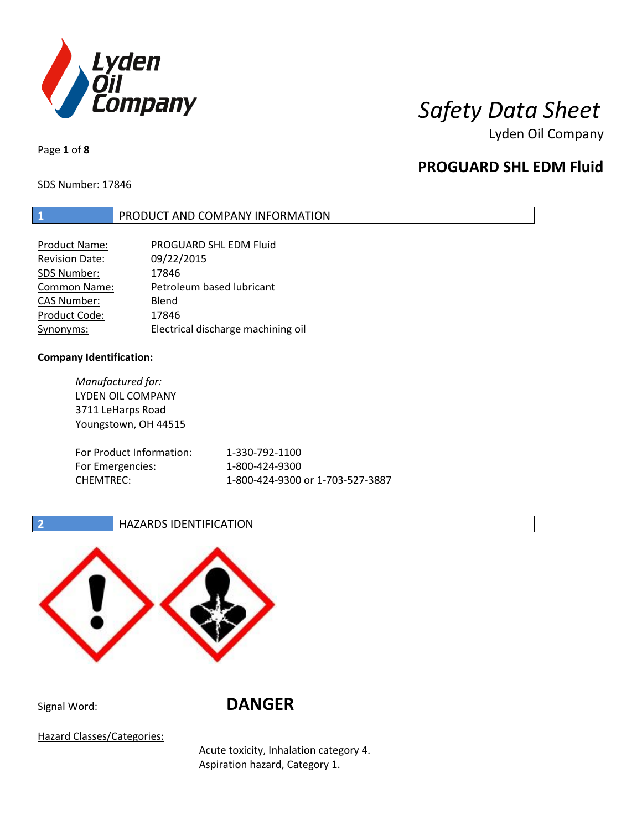

Page **1** of **8**

# **PROGUARD SHL EDM Fluid**

SDS Number: 17846

## **1** PRODUCT AND COMPANY INFORMATION

| <b>Product Name:</b>  | PROGUARD SHL EDM Fluid             |
|-----------------------|------------------------------------|
| <b>Revision Date:</b> | 09/22/2015                         |
| SDS Number:           | 17846                              |
| Common Name:          | Petroleum based lubricant          |
| <b>CAS Number:</b>    | Blend                              |
| Product Code:         | 17846                              |
| Synonyms:             | Electrical discharge machining oil |

### **Company Identification:**

*Manufactured for:* LYDEN OIL COMPANY 3711 LeHarps Road Youngstown, OH 44515 For Product Information: 1-330-792-1100 For Emergencies: 1-800-424-9300 CHEMTREC: 1-800-424-9300 or 1-703-527-3887

## **2 HAZARDS IDENTIFICATION**



Signal Word: **DANGER**

Hazard Classes/Categories:

Acute toxicity, Inhalation category 4. Aspiration hazard, Category 1.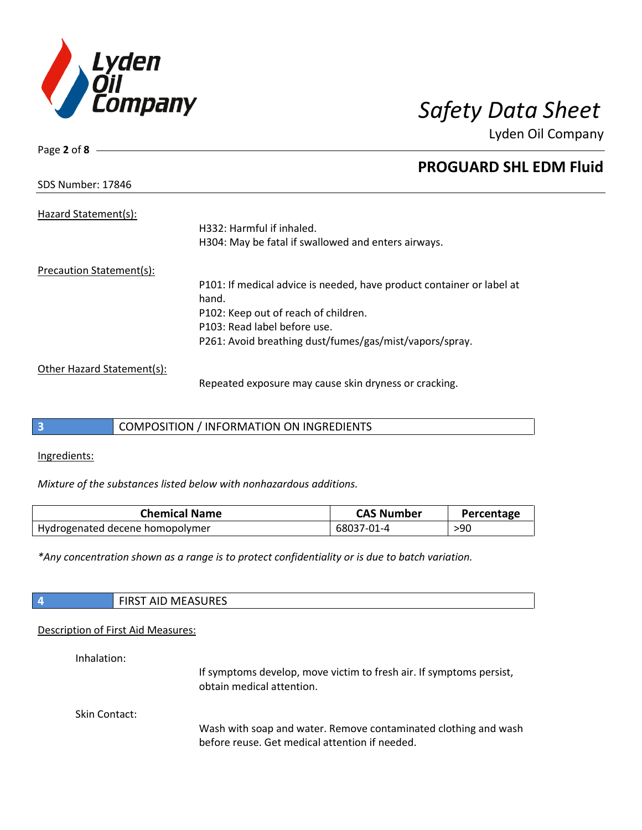

| Page 2 of 8                |                                                                       |
|----------------------------|-----------------------------------------------------------------------|
|                            | <b>PROGUARD SHL EDM Fluid</b>                                         |
| <b>SDS Number: 17846</b>   |                                                                       |
| Hazard Statement(s):       |                                                                       |
|                            | H332: Harmful if inhaled.                                             |
|                            | H304: May be fatal if swallowed and enters airways.                   |
| Precaution Statement(s):   |                                                                       |
|                            | P101: If medical advice is needed, have product container or label at |
|                            | hand.                                                                 |
|                            | P102: Keep out of reach of children.                                  |
|                            | P103: Read label before use.                                          |
|                            | P261: Avoid breathing dust/fumes/gas/mist/vapors/spray.               |
| Other Hazard Statement(s): |                                                                       |

Repeated exposure may cause skin dryness or cracking.

## **3** COMPOSITION / INFORMATION ON INGREDIENTS

Ingredients:

*Mixture of the substances listed below with nonhazardous additions.*

| <b>Chemical Name</b>            | <b>CAS Number</b> | Percentage |
|---------------------------------|-------------------|------------|
| Hydrogenated decene homopolymer | 68037-01-4        | >90        |

*\*Any concentration shown as a range is to protect confidentiality or is due to batch variation.*

| $\sqrt{4}$ | <b>FIRST AID MEASURES</b> |
|------------|---------------------------|
|            |                           |

### Description of First Aid Measures:

Inhalation:

If symptoms develop, move victim to fresh air. If symptoms persist, obtain medical attention.

Skin Contact:

Wash with soap and water. Remove contaminated clothing and wash before reuse. Get medical attention if needed.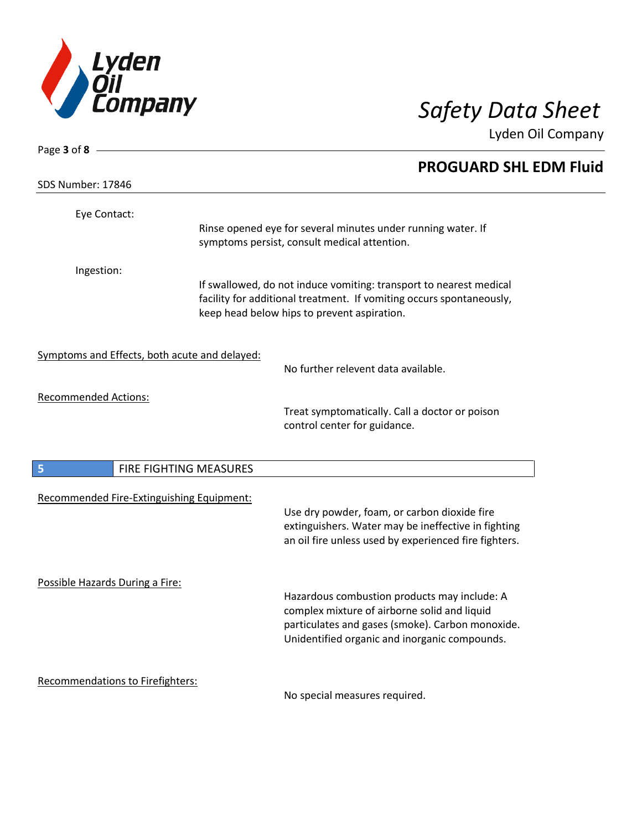

| Page $3$ of $8$ –                             |                        |                                                                                                                                                                                                   |  |
|-----------------------------------------------|------------------------|---------------------------------------------------------------------------------------------------------------------------------------------------------------------------------------------------|--|
|                                               |                        | <b>PROGUARD SHL EDM Fluid</b>                                                                                                                                                                     |  |
| SDS Number: 17846                             |                        |                                                                                                                                                                                                   |  |
| Eye Contact:                                  |                        | Rinse opened eye for several minutes under running water. If<br>symptoms persist, consult medical attention.                                                                                      |  |
| Ingestion:                                    |                        | If swallowed, do not induce vomiting: transport to nearest medical<br>facility for additional treatment. If vomiting occurs spontaneously,<br>keep head below hips to prevent aspiration.         |  |
| Symptoms and Effects, both acute and delayed: |                        | No further relevent data available.                                                                                                                                                               |  |
| <b>Recommended Actions:</b>                   |                        | Treat symptomatically. Call a doctor or poison<br>control center for guidance.                                                                                                                    |  |
| 5                                             | FIRE FIGHTING MEASURES |                                                                                                                                                                                                   |  |
| Recommended Fire-Extinguishing Equipment:     |                        | Use dry powder, foam, or carbon dioxide fire<br>extinguishers. Water may be ineffective in fighting<br>an oil fire unless used by experienced fire fighters.                                      |  |
| Possible Hazards During a Fire:               |                        | Hazardous combustion products may include: A<br>complex mixture of airborne solid and liquid<br>particulates and gases (smoke). Carbon monoxide.<br>Unidentified organic and inorganic compounds. |  |
| <b>Recommendations to Firefighters:</b>       |                        | No special measures required.                                                                                                                                                                     |  |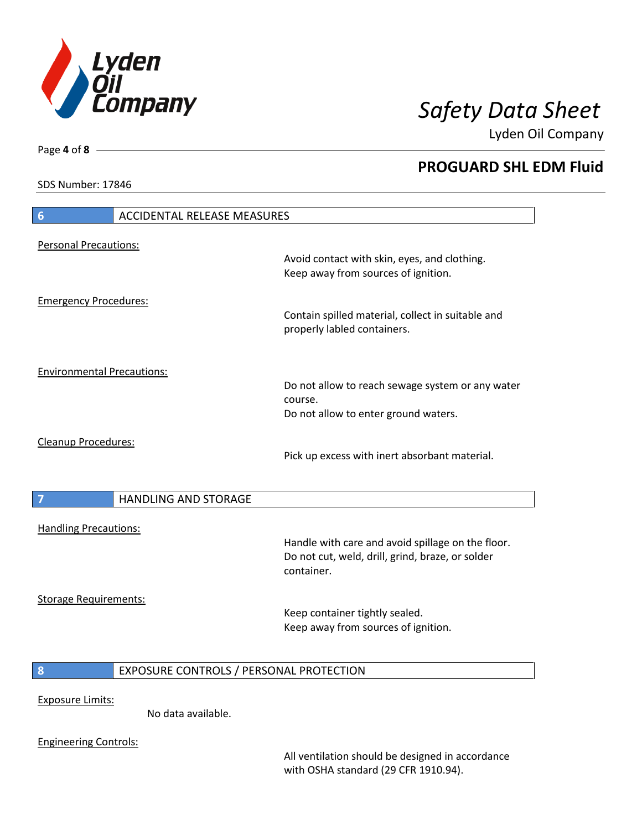

**PROGUARD SHL EDM Fluid**

Lyden Oil Company

SDS Number: 17846

Page **4** of **8**

 $\overline{\phantom{a}}$ 

 $\overline{\phantom{a}}$ 

| $6\phantom{1}6$                   | <b>ACCIDENTAL RELEASE MEASURES</b>      |                                                                                                                     |
|-----------------------------------|-----------------------------------------|---------------------------------------------------------------------------------------------------------------------|
| <b>Personal Precautions:</b>      |                                         |                                                                                                                     |
|                                   |                                         | Avoid contact with skin, eyes, and clothing.<br>Keep away from sources of ignition.                                 |
| <b>Emergency Procedures:</b>      |                                         | Contain spilled material, collect in suitable and                                                                   |
|                                   |                                         | properly labled containers.                                                                                         |
| <b>Environmental Precautions:</b> |                                         |                                                                                                                     |
|                                   |                                         | Do not allow to reach sewage system or any water<br>course.                                                         |
|                                   |                                         | Do not allow to enter ground waters.                                                                                |
| Cleanup Procedures:               |                                         | Pick up excess with inert absorbant material.                                                                       |
|                                   |                                         |                                                                                                                     |
| 7                                 | <b>HANDLING AND STORAGE</b>             |                                                                                                                     |
| <b>Handling Precautions:</b>      |                                         |                                                                                                                     |
|                                   |                                         | Handle with care and avoid spillage on the floor.<br>Do not cut, weld, drill, grind, braze, or solder<br>container. |
| <b>Storage Requirements:</b>      |                                         |                                                                                                                     |
|                                   |                                         | Keep container tightly sealed.<br>Keep away from sources of ignition.                                               |
|                                   |                                         |                                                                                                                     |
| 8                                 | EXPOSURE CONTROLS / PERSONAL PROTECTION |                                                                                                                     |
| <b>Exposure Limits:</b>           |                                         |                                                                                                                     |
|                                   | No data available.                      |                                                                                                                     |
| <b>Engineering Controls:</b>      |                                         |                                                                                                                     |

All ventilation should be designed in accordance with OSHA standard (29 CFR 1910.94).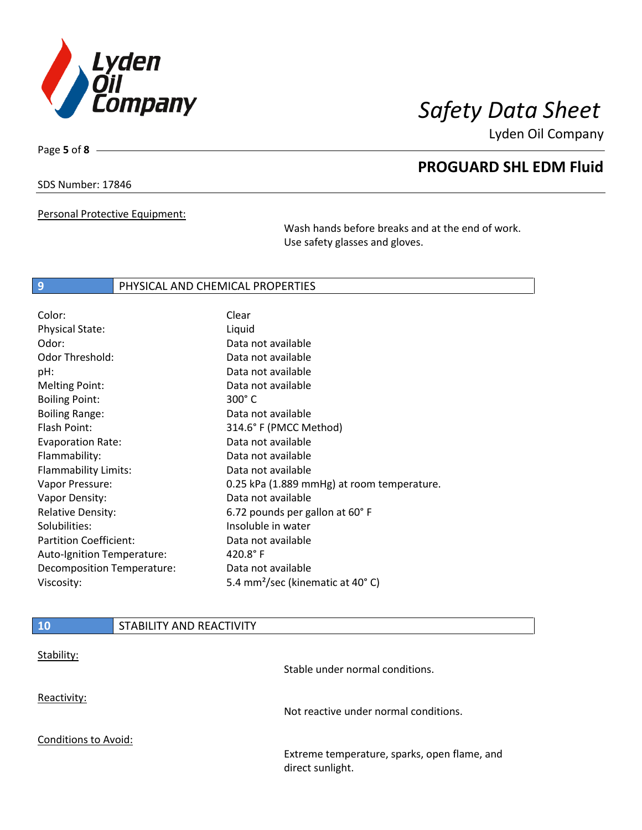

Page **5** of **8**

# **PROGUARD SHL EDM Fluid**

SDS Number: 17846

Personal Protective Equipment:

Wash hands before breaks and at the end of work. Use safety glasses and gloves.

### **9** PHYSICAL AND CHEMICAL PROPERTIES

| Color:                        | Clear                                        |
|-------------------------------|----------------------------------------------|
| <b>Physical State:</b>        | Liquid                                       |
| Odor:                         | Data not available                           |
| <b>Odor Threshold:</b>        | Data not available                           |
| pH:                           | Data not available                           |
| <b>Melting Point:</b>         | Data not available                           |
| <b>Boiling Point:</b>         | $300^\circ$ C                                |
| <b>Boiling Range:</b>         | Data not available                           |
| Flash Point:                  | 314.6° F (PMCC Method)                       |
| <b>Evaporation Rate:</b>      | Data not available                           |
| Flammability:                 | Data not available                           |
| Flammability Limits:          | Data not available                           |
| Vapor Pressure:               | 0.25 kPa (1.889 mmHg) at room temperature.   |
| Vapor Density:                | Data not available                           |
| <b>Relative Density:</b>      | 6.72 pounds per gallon at 60°F               |
| Solubilities:                 | Insoluble in water                           |
| <b>Partition Coefficient:</b> | Data not available                           |
| Auto-Ignition Temperature:    | $420.8^{\circ}$ F                            |
| Decomposition Temperature:    | Data not available                           |
| Viscosity:                    | 5.4 mm <sup>2</sup> /sec (kinematic at 40°C) |

| 10                   | STABILITY AND REACTIVITY |                                                                  |
|----------------------|--------------------------|------------------------------------------------------------------|
| Stability:           |                          | Stable under normal conditions.                                  |
| Reactivity:          |                          | Not reactive under normal conditions.                            |
| Conditions to Avoid: |                          | Extreme temperature, sparks, open flame, and<br>direct sunlight. |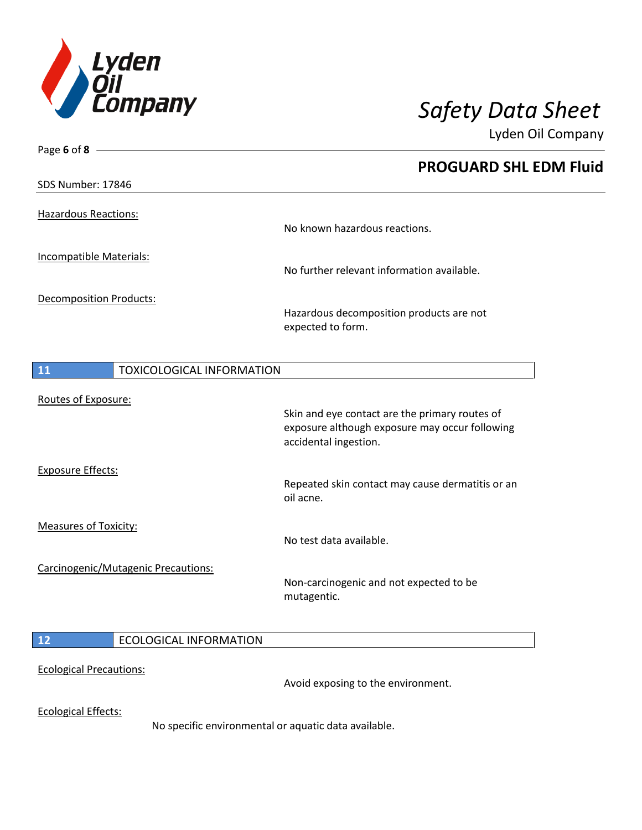

| Page 6 of 8 $-$                     |                                                      |                                                        |
|-------------------------------------|------------------------------------------------------|--------------------------------------------------------|
|                                     |                                                      | <b>PROGUARD SHL EDM Fluid</b>                          |
| SDS Number: 17846                   |                                                      |                                                        |
|                                     |                                                      |                                                        |
| <b>Hazardous Reactions:</b>         |                                                      | No known hazardous reactions.                          |
|                                     |                                                      |                                                        |
| Incompatible Materials:             |                                                      | No further relevant information available.             |
|                                     |                                                      |                                                        |
| Decomposition Products:             |                                                      | Hazardous decomposition products are not               |
|                                     |                                                      | expected to form.                                      |
|                                     |                                                      |                                                        |
| 11                                  | <b>TOXICOLOGICAL INFORMATION</b>                     |                                                        |
|                                     |                                                      |                                                        |
| Routes of Exposure:                 |                                                      | Skin and eye contact are the primary routes of         |
|                                     |                                                      | exposure although exposure may occur following         |
|                                     |                                                      | accidental ingestion.                                  |
| <b>Exposure Effects:</b>            |                                                      |                                                        |
|                                     |                                                      | Repeated skin contact may cause dermatitis or an       |
|                                     |                                                      | oil acne.                                              |
| <b>Measures of Toxicity:</b>        |                                                      |                                                        |
|                                     |                                                      | No test data available.                                |
| Carcinogenic/Mutagenic Precautions: |                                                      |                                                        |
|                                     |                                                      | Non-carcinogenic and not expected to be<br>mutagentic. |
|                                     |                                                      |                                                        |
| 12                                  | <b>ECOLOGICAL INFORMATION</b>                        |                                                        |
|                                     |                                                      |                                                        |
| <b>Ecological Precautions:</b>      |                                                      |                                                        |
|                                     |                                                      | Avoid exposing to the environment.                     |
| <b>Ecological Effects:</b>          |                                                      |                                                        |
|                                     | No specific environmental or aquatic data available. |                                                        |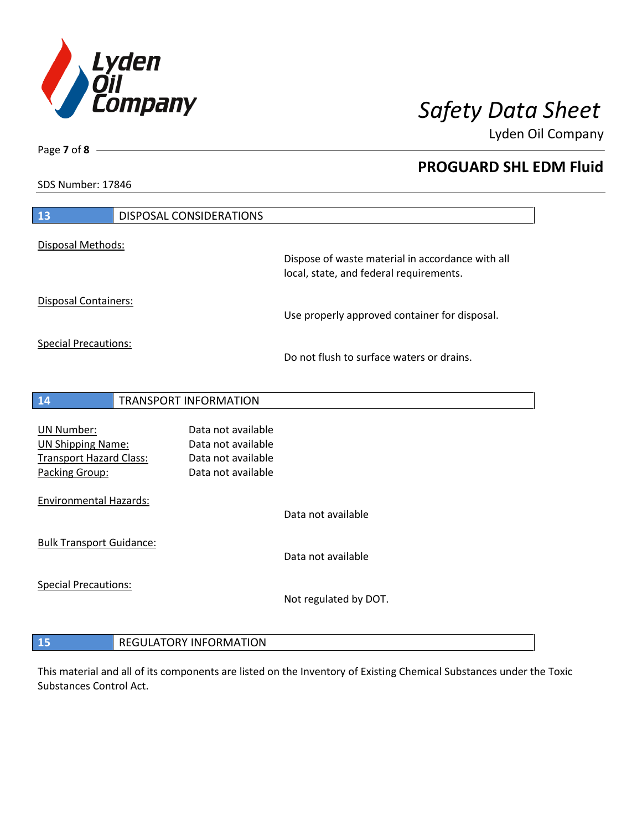

**PROGUARD SHL EDM Fluid**

Lyden Oil Company

SDS Number: 17846

| 13                                                                                                | <b>DISPOSAL CONSIDERATIONS</b>                                                       |                                                                                             |
|---------------------------------------------------------------------------------------------------|--------------------------------------------------------------------------------------|---------------------------------------------------------------------------------------------|
| Disposal Methods:                                                                                 |                                                                                      |                                                                                             |
|                                                                                                   |                                                                                      | Dispose of waste material in accordance with all<br>local, state, and federal requirements. |
| Disposal Containers:                                                                              |                                                                                      | Use properly approved container for disposal.                                               |
| <b>Special Precautions:</b>                                                                       |                                                                                      | Do not flush to surface waters or drains.                                                   |
|                                                                                                   |                                                                                      |                                                                                             |
| 14                                                                                                | <b>TRANSPORT INFORMATION</b>                                                         |                                                                                             |
| <b>UN Number:</b><br><b>UN Shipping Name:</b><br><b>Transport Hazard Class:</b><br>Packing Group: | Data not available<br>Data not available<br>Data not available<br>Data not available |                                                                                             |
| <b>Environmental Hazards:</b>                                                                     |                                                                                      | Data not available                                                                          |
| <b>Bulk Transport Guidance:</b>                                                                   |                                                                                      | Data not available                                                                          |
| <b>Special Precautions:</b>                                                                       |                                                                                      | Not regulated by DOT.                                                                       |
| 15                                                                                                | <b>REGULATORY INFORMATION</b>                                                        |                                                                                             |

This material and all of its components are listed on the Inventory of Existing Chemical Substances under the Toxic Substances Control Act.

# Page **7** of **8**